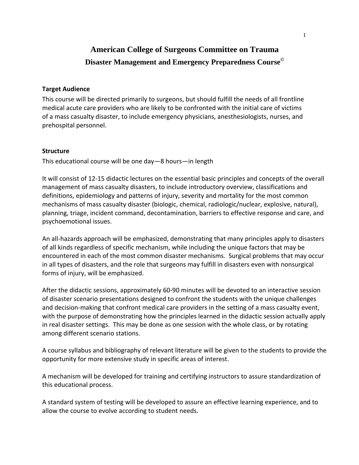## **Target Audience**

This course will be directed primarily to surgeons, but should fulfill the needs of all frontline medical acute care providers who are likely to be confronted with the initial care of victims of a mass casualty disaster, to include emergency physicians, anesthesiologists, nurses, and prehospital personnel.

#### **Structure**

This educational course will be one day—8 hours—in length

It will consist of 12‐15 didactic lectures on the essential basic principles and concepts of the overall management of mass casualty disasters, to include introductory overview, classifications and definitions, epidemiology and patterns of injury, severity and mortality for the most common mechanisms of mass casualty disaster (biologic, chemical, radiologic/nuclear, explosive, natural), planning, triage, incident command, decontamination, barriers to effective response and care, and psychoemotional issues.

An all‐hazards approach will be emphasized, demonstrating that many principles apply to disasters of all kinds regardless of specific mechanism, while including the unique factors that may be encountered in each of the most common disaster mechanisms. Surgical problems that may occur in all types of disasters, and the role that surgeons may fulfill in disasters even with nonsurgical forms of injury, will be emphasized.

After the didactic sessions, approximately 60‐90 minutes will be devoted to an interactive session of disaster scenario presentations designed to confront the students with the unique challenges and decision-making that confront medical care providers in the setting of a mass casualty event, with the purpose of demonstrating how the principles learned in the didactic session actually apply in real disaster settings. This may be done as one session with the whole class, or by rotating among different scenario stations.

A course syllabus and bibliography of relevant literature will be given to the students to provide the opportunity for more extensive study in specific areas of interest.

A mechanism will be developed for training and certifying instructors to assure standardization of this educational process.

A standard system of testing will be developed to assure an effective learning experience, and to allow the course to evolve according to student needs.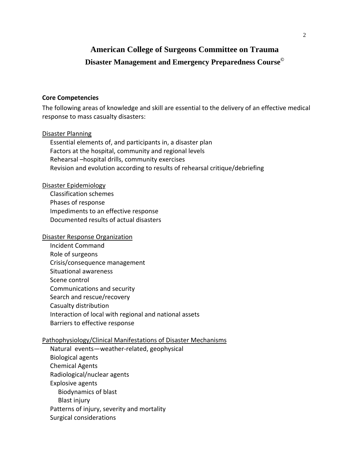#### **Core Competencies**

The following areas of knowledge and skill are essential to the delivery of an effective medical response to mass casualty disasters:

#### Disaster Planning

 Essential elements of, and participants in, a disaster plan Factors at the hospital, community and regional levels Rehearsal –hospital drills, community exercises Revision and evolution according to results of rehearsal critique/debriefing

### Disaster Epidemiology

 Classification schemes Phases of response Impediments to an effective response Documented results of actual disasters

#### Disaster Response Organization

 Incident Command Role of surgeons Crisis/consequence management Situational awareness Scene control Communications and security Search and rescue/recovery Casualty distribution Interaction of local with regional and national assets Barriers to effective response

#### Pathophysiology/Clinical Manifestations of Disaster Mechanisms

 Natural events—weather‐related, geophysical Biological agents Chemical Agents Radiological/nuclear agents Explosive agents Biodynamics of blast Blast injury Patterns of injury, severity and mortality Surgical considerations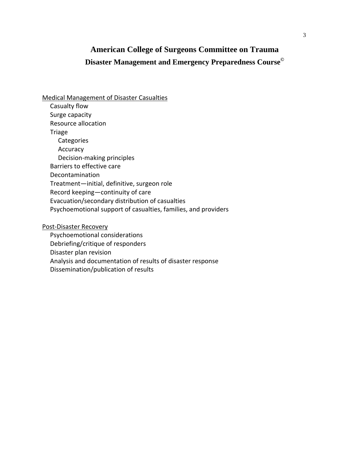## Medical Management of Disaster Casualties

 Casualty flow Surge capacity Resource allocation Triage **Categories**  Accuracy Decision‐making principles Barriers to effective care Decontamination Treatment—initial, definitive, surgeon role Record keeping—continuity of care Evacuation/secondary distribution of casualties Psychoemotional support of casualties, families, and providers

Post‐Disaster Recovery

 Psychoemotional considerations Debriefing/critique of responders Disaster plan revision Analysis and documentation of results of disaster response Dissemination/publication of results